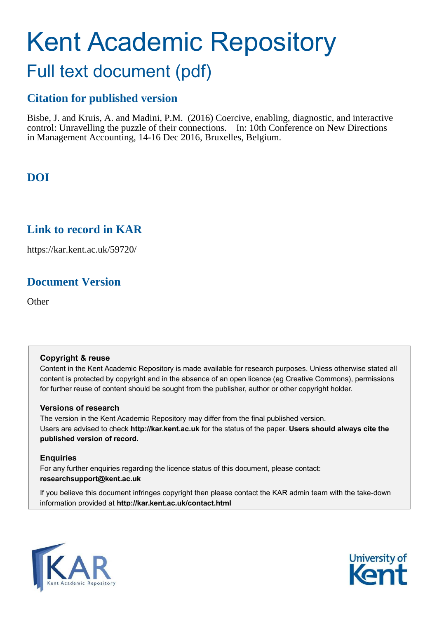# Kent Academic Repository

# Full text document (pdf)

## **Citation for published version**

Bisbe, J. and Kruis, A. and Madini, P.M. (2016) Coercive, enabling, diagnostic, and interactive control: Unravelling the puzzle of their connections. In: 10th Conference on New Directions in Management Accounting, 14-16 Dec 2016, Bruxelles, Belgium.

## **DOI**

### **Link to record in KAR**

https://kar.kent.ac.uk/59720/

## **Document Version**

**Other** 

#### **Copyright & reuse**

Content in the Kent Academic Repository is made available for research purposes. Unless otherwise stated all content is protected by copyright and in the absence of an open licence (eg Creative Commons), permissions for further reuse of content should be sought from the publisher, author or other copyright holder.

#### **Versions of research**

The version in the Kent Academic Repository may differ from the final published version. Users are advised to check **http://kar.kent.ac.uk** for the status of the paper. **Users should always cite the published version of record.**

#### **Enquiries**

For any further enquiries regarding the licence status of this document, please contact: **researchsupport@kent.ac.uk**

If you believe this document infringes copyright then please contact the KAR admin team with the take-down information provided at **http://kar.kent.ac.uk/contact.html**



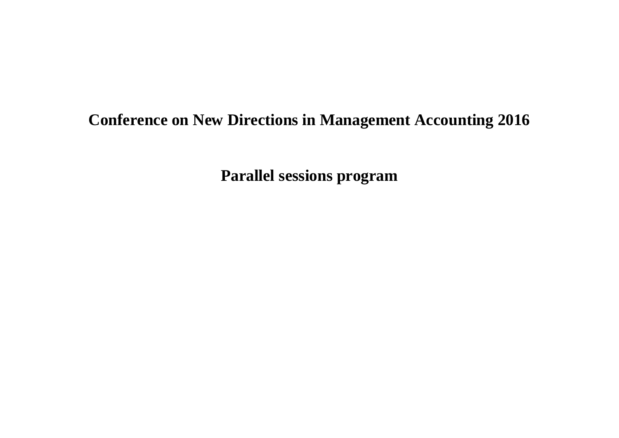## **Conference on New Directions in Management Accounting 2016**

**Parallel sessions program**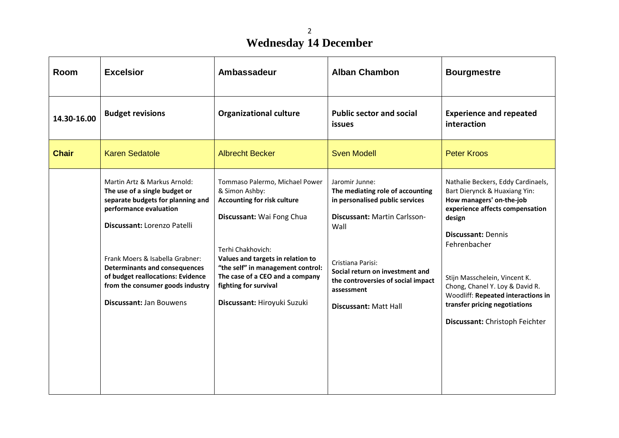# **Wednesday 14 December**

| Room         | <b>Excelsior</b>                                                                                                                                                                                                                                                                                                                                  | Ambassadeur                                                                                                                                                                                                                                                                                                   | <b>Alban Chambon</b>                                                                                                                                                                                                                                                      | <b>Bourgmestre</b>                                                                                                                                                                                                                                                                                                                                                     |
|--------------|---------------------------------------------------------------------------------------------------------------------------------------------------------------------------------------------------------------------------------------------------------------------------------------------------------------------------------------------------|---------------------------------------------------------------------------------------------------------------------------------------------------------------------------------------------------------------------------------------------------------------------------------------------------------------|---------------------------------------------------------------------------------------------------------------------------------------------------------------------------------------------------------------------------------------------------------------------------|------------------------------------------------------------------------------------------------------------------------------------------------------------------------------------------------------------------------------------------------------------------------------------------------------------------------------------------------------------------------|
| 14.30-16.00  | <b>Budget revisions</b>                                                                                                                                                                                                                                                                                                                           | <b>Organizational culture</b>                                                                                                                                                                                                                                                                                 | <b>Public sector and social</b><br>issues                                                                                                                                                                                                                                 | <b>Experience and repeated</b><br>interaction                                                                                                                                                                                                                                                                                                                          |
| <b>Chair</b> | <b>Karen Sedatole</b>                                                                                                                                                                                                                                                                                                                             | <b>Albrecht Becker</b>                                                                                                                                                                                                                                                                                        | <b>Sven Modell</b>                                                                                                                                                                                                                                                        | <b>Peter Kroos</b>                                                                                                                                                                                                                                                                                                                                                     |
|              | Martin Artz & Markus Arnold:<br>The use of a single budget or<br>separate budgets for planning and<br>performance evaluation<br>Discussant: Lorenzo Patelli<br>Frank Moers & Isabella Grabner:<br><b>Determinants and consequences</b><br>of budget reallocations: Evidence<br>from the consumer goods industry<br><b>Discussant: Jan Bouwens</b> | Tommaso Palermo, Michael Power<br>& Simon Ashby:<br><b>Accounting for risk culture</b><br>Discussant: Wai Fong Chua<br>Terhi Chakhovich:<br>Values and targets in relation to<br>"the self" in management control:<br>The case of a CEO and a company<br>fighting for survival<br>Discussant: Hiroyuki Suzuki | Jaromir Junne:<br>The mediating role of accounting<br>in personalised public services<br>Discussant: Martin Carlsson-<br>Wall<br>Cristiana Parisi:<br>Social return on investment and<br>the controversies of social impact<br>assessment<br><b>Discussant: Matt Hall</b> | Nathalie Beckers, Eddy Cardinaels,<br>Bart Dierynck & Huaxiang Yin:<br>How managers' on-the-job<br>experience affects compensation<br>design<br><b>Discussant: Dennis</b><br>Fehrenbacher<br>Stijn Masschelein, Vincent K.<br>Chong, Chanel Y. Loy & David R.<br>Woodliff: Repeated interactions in<br>transfer pricing negotiations<br>Discussant: Christoph Feichter |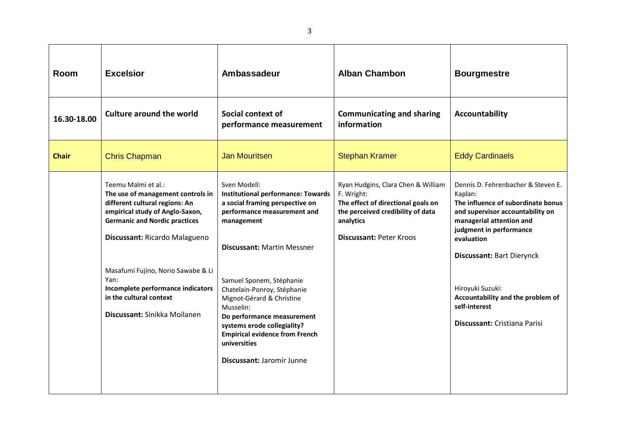| Room         | <b>Excelsior</b>                                                                                                                                                                                                                                                                                                                                     | Ambassadeur                                                                                                                                                                                                                                                                                                                                                                                                                            | <b>Alban Chambon</b>                                                                                                                                                       | <b>Bourgmestre</b>                                                                                                                                                                                                                                                                                                                                |
|--------------|------------------------------------------------------------------------------------------------------------------------------------------------------------------------------------------------------------------------------------------------------------------------------------------------------------------------------------------------------|----------------------------------------------------------------------------------------------------------------------------------------------------------------------------------------------------------------------------------------------------------------------------------------------------------------------------------------------------------------------------------------------------------------------------------------|----------------------------------------------------------------------------------------------------------------------------------------------------------------------------|---------------------------------------------------------------------------------------------------------------------------------------------------------------------------------------------------------------------------------------------------------------------------------------------------------------------------------------------------|
| 16.30-18.00  | <b>Culture around the world</b>                                                                                                                                                                                                                                                                                                                      | Social context of<br>performance measurement                                                                                                                                                                                                                                                                                                                                                                                           | <b>Communicating and sharing</b><br>information                                                                                                                            | <b>Accountability</b>                                                                                                                                                                                                                                                                                                                             |
| <b>Chair</b> | <b>Chris Chapman</b>                                                                                                                                                                                                                                                                                                                                 | <b>Jan Mouritsen</b>                                                                                                                                                                                                                                                                                                                                                                                                                   | <b>Stephan Kramer</b>                                                                                                                                                      | <b>Eddy Cardinaels</b>                                                                                                                                                                                                                                                                                                                            |
|              | Teemu Malmi et al.:<br>The use of management controls in<br>different cultural regions: An<br>empirical study of Anglo-Saxon,<br><b>Germanic and Nordic practices</b><br>Discussant: Ricardo Malagueno<br>Masafumi Fujino, Norio Sawabe & Li<br>Yan:<br>Incomplete performance indicators<br>in the cultural context<br>Discussant: Sinikka Moilanen | Sven Modell:<br><b>Institutional performance: Towards</b><br>a social framing perspective on<br>performance measurement and<br>management<br><b>Discussant: Martin Messner</b><br>Samuel Sponem, Stéphanie<br>Chatelain-Ponroy, Stéphanie<br>Mignot-Gérard & Christine<br>Musselin:<br>Do performance measurement<br>systems erode collegiality?<br><b>Empirical evidence from French</b><br>universities<br>Discussant: Jaromir Junne | Ryan Hudgins, Clara Chen & William<br>F. Wright:<br>The effect of directional goals on<br>the perceived credibility of data<br>analytics<br><b>Discussant: Peter Kroos</b> | Dennis D. Fehrenbacher & Steven E.<br>Kaplan:<br>The influence of subordinate bonus<br>and supervisor accountability on<br>managerial attention and<br>judgment in performance<br>evaluation<br><b>Discussant: Bart Dierynck</b><br>Hiroyuki Suzuki:<br>Accountability and the problem of<br>self-interest<br><b>Discussant: Cristiana Parisi</b> |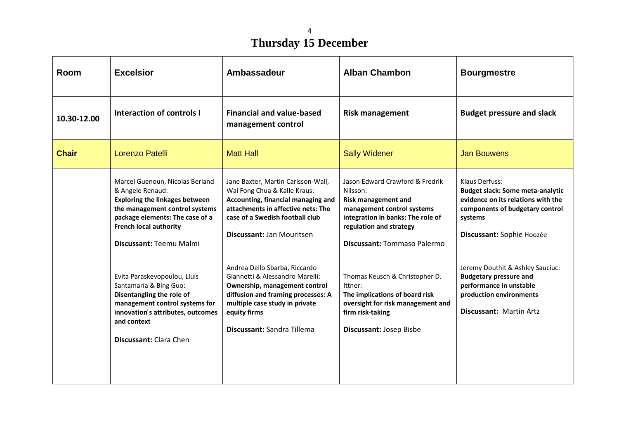#### 4 **Thursday 15 December**

| Room         | <b>Excelsior</b>                                                                                                                                                                                                              | Ambassadeur                                                                                                                                                                                                             | <b>Alban Chambon</b>                                                                                                                                                                                   | <b>Bourgmestre</b>                                                                                                                                                         |
|--------------|-------------------------------------------------------------------------------------------------------------------------------------------------------------------------------------------------------------------------------|-------------------------------------------------------------------------------------------------------------------------------------------------------------------------------------------------------------------------|--------------------------------------------------------------------------------------------------------------------------------------------------------------------------------------------------------|----------------------------------------------------------------------------------------------------------------------------------------------------------------------------|
| 10.30-12.00  | Interaction of controls I                                                                                                                                                                                                     | <b>Financial and value-based</b><br>management control                                                                                                                                                                  | <b>Risk management</b>                                                                                                                                                                                 | <b>Budget pressure and slack</b>                                                                                                                                           |
| <b>Chair</b> | Lorenzo Patelli                                                                                                                                                                                                               | <b>Matt Hall</b>                                                                                                                                                                                                        | <b>Sally Widener</b>                                                                                                                                                                                   | <b>Jan Bouwens</b>                                                                                                                                                         |
|              | Marcel Guenoun, Nicolas Berland<br>& Angele Renaud:<br><b>Exploring the linkages between</b><br>the management control systems<br>package elements: The case of a<br><b>French local authority</b><br>Discussant: Teemu Malmi | Jane Baxter, Martin Carlsson-Wall,<br>Wai Fong Chua & Kalle Kraus:<br>Accounting, financial managing and<br>attachments in affective nets: The<br>case of a Swedish football club<br>Discussant: Jan Mouritsen          | Jason Edward Crawford & Fredrik<br>Nilsson:<br><b>Risk management and</b><br>management control systems<br>integration in banks: The role of<br>regulation and strategy<br>Discussant: Tommaso Palermo | Klaus Derfuss:<br><b>Budget slack: Some meta-analytic</b><br>evidence on its relations with the<br>components of budgetary control<br>systems<br>Discussant: Sophie Hoozée |
|              | Evita Paraskevopoulou, Lluís<br>Santamaría & Bing Guo:<br>Disentangling the role of<br>management control systems for<br>innovation s attributes, outcomes<br>and context<br>Discussant: Clara Chen                           | Andrea Dello Sbarba, Riccardo<br>Giannetti & Alessandro Marelli:<br>Ownership, management control<br>diffusion and framing processes: A<br>multiple case study in private<br>equity firms<br>Discussant: Sandra Tillema | Thomas Keusch & Christopher D.<br>Ittner:<br>The implications of board risk<br>oversight for risk management and<br>firm risk-taking<br>Discussant: Josep Bisbe                                        | Jeremy Douthit & Ashley Sauciuc:<br><b>Budgetary pressure and</b><br>performance in unstable<br>production environments<br><b>Discussant: Martin Artz</b>                  |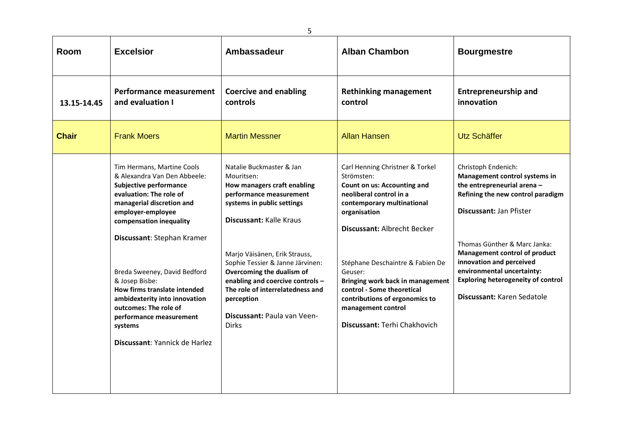| Room         | <b>Excelsior</b>                                                                                                                                                                                                                                                                                                                                                                                                                                     | Ambassadeur                                                                                                                                                                                                                                                                                                                                                                                             | <b>Alban Chambon</b>                                                                                                                                                                                                                                                                                                                                                                                 | <b>Bourgmestre</b>                                                                                                                                                                                                                                                                                                                                        |
|--------------|------------------------------------------------------------------------------------------------------------------------------------------------------------------------------------------------------------------------------------------------------------------------------------------------------------------------------------------------------------------------------------------------------------------------------------------------------|---------------------------------------------------------------------------------------------------------------------------------------------------------------------------------------------------------------------------------------------------------------------------------------------------------------------------------------------------------------------------------------------------------|------------------------------------------------------------------------------------------------------------------------------------------------------------------------------------------------------------------------------------------------------------------------------------------------------------------------------------------------------------------------------------------------------|-----------------------------------------------------------------------------------------------------------------------------------------------------------------------------------------------------------------------------------------------------------------------------------------------------------------------------------------------------------|
| 13.15-14.45  | <b>Performance measurement</b><br>and evaluation I                                                                                                                                                                                                                                                                                                                                                                                                   | <b>Coercive and enabling</b><br>controls                                                                                                                                                                                                                                                                                                                                                                | <b>Rethinking management</b><br>control                                                                                                                                                                                                                                                                                                                                                              | <b>Entrepreneurship and</b><br>innovation                                                                                                                                                                                                                                                                                                                 |
| <b>Chair</b> | <b>Frank Moers</b>                                                                                                                                                                                                                                                                                                                                                                                                                                   | <b>Martin Messner</b>                                                                                                                                                                                                                                                                                                                                                                                   | <b>Allan Hansen</b>                                                                                                                                                                                                                                                                                                                                                                                  | Utz Schäffer                                                                                                                                                                                                                                                                                                                                              |
|              | Tim Hermans, Martine Cools<br>& Alexandra Van Den Abbeele:<br><b>Subjective performance</b><br>evaluation: The role of<br>managerial discretion and<br>employer-employee<br>compensation inequality<br>Discussant: Stephan Kramer<br>Breda Sweeney, David Bedford<br>& Josep Bisbe:<br>How firms translate intended<br>ambidexterity into innovation<br>outcomes: The role of<br>performance measurement<br>systems<br>Discussant: Yannick de Harlez | Natalie Buckmaster & Jan<br>Mouritsen:<br>How managers craft enabling<br>performance measurement<br>systems in public settings<br><b>Discussant: Kalle Kraus</b><br>Marjo Väisänen, Erik Strauss,<br>Sophie Tessier & Janne Järvinen:<br>Overcoming the dualism of<br>enabling and coercive controls -<br>The role of interrelatedness and<br>perception<br>Discussant: Paula van Veen-<br><b>Dirks</b> | Carl Henning Christner & Torkel<br>Strömsten:<br>Count on us: Accounting and<br>neoliberal control in a<br>contemporary multinational<br>organisation<br><b>Discussant: Albrecht Becker</b><br>Stéphane Deschaintre & Fabien De<br>Geuser:<br>Bringing work back in management<br>control - Some theoretical<br>contributions of ergonomics to<br>management control<br>Discussant: Terhi Chakhovich | Christoph Endenich:<br>Management control systems in<br>the entrepreneurial arena -<br>Refining the new control paradigm<br>Discussant: Jan Pfister<br>Thomas Günther & Marc Janka:<br>Management control of product<br>innovation and perceived<br>environmental uncertainty:<br><b>Exploring heterogeneity of control</b><br>Discussant: Karen Sedatole |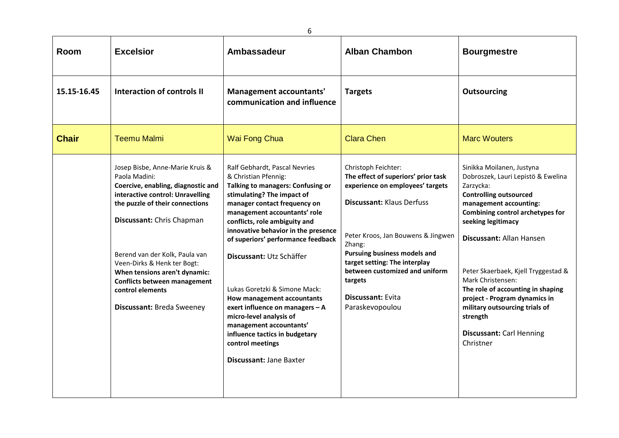| Room         | <b>Excelsior</b>                                                                                                                                                                                                                                                                                                                                                                     | Ambassadeur                                                                                                                                                                                                                                                                                                                                                                                                                                                                                                                                                                 | <b>Alban Chambon</b>                                                                                                                                                                                                                                                                                                                            | <b>Bourgmestre</b>                                                                                                                                                                                                                                                                                                                                                                                                                                            |
|--------------|--------------------------------------------------------------------------------------------------------------------------------------------------------------------------------------------------------------------------------------------------------------------------------------------------------------------------------------------------------------------------------------|-----------------------------------------------------------------------------------------------------------------------------------------------------------------------------------------------------------------------------------------------------------------------------------------------------------------------------------------------------------------------------------------------------------------------------------------------------------------------------------------------------------------------------------------------------------------------------|-------------------------------------------------------------------------------------------------------------------------------------------------------------------------------------------------------------------------------------------------------------------------------------------------------------------------------------------------|---------------------------------------------------------------------------------------------------------------------------------------------------------------------------------------------------------------------------------------------------------------------------------------------------------------------------------------------------------------------------------------------------------------------------------------------------------------|
| 15.15-16.45  | Interaction of controls II                                                                                                                                                                                                                                                                                                                                                           | Management accountants'<br>communication and influence                                                                                                                                                                                                                                                                                                                                                                                                                                                                                                                      | <b>Targets</b>                                                                                                                                                                                                                                                                                                                                  | <b>Outsourcing</b>                                                                                                                                                                                                                                                                                                                                                                                                                                            |
| <b>Chair</b> | <b>Teemu Malmi</b>                                                                                                                                                                                                                                                                                                                                                                   | Wai Fong Chua                                                                                                                                                                                                                                                                                                                                                                                                                                                                                                                                                               | <b>Clara Chen</b>                                                                                                                                                                                                                                                                                                                               | <b>Marc Wouters</b>                                                                                                                                                                                                                                                                                                                                                                                                                                           |
|              | Josep Bisbe, Anne-Marie Kruis &<br>Paola Madini:<br>Coercive, enabling, diagnostic and<br>interactive control: Unravelling<br>the puzzle of their connections<br>Discussant: Chris Chapman<br>Berend van der Kolk, Paula van<br>Veen-Dirks & Henk ter Bogt:<br>When tensions aren't dynamic:<br><b>Conflicts between management</b><br>control elements<br>Discussant: Breda Sweeney | Ralf Gebhardt, Pascal Nevries<br>& Christian Pfennig:<br>Talking to managers: Confusing or<br>stimulating? The impact of<br>manager contact frequency on<br>management accountants' role<br>conflicts, role ambiguity and<br>innovative behavior in the presence<br>of superiors' performance feedback<br>Discussant: Utz Schäffer<br>Lukas Goretzki & Simone Mack:<br>How management accountants<br>exert influence on managers - A<br>micro-level analysis of<br>management accountants'<br>influence tactics in budgetary<br>control meetings<br>Discussant: Jane Baxter | Christoph Feichter:<br>The effect of superiors' prior task<br>experience on employees' targets<br><b>Discussant: Klaus Derfuss</b><br>Peter Kroos, Jan Bouwens & Jingwen<br>Zhang:<br>Pursuing business models and<br>target setting: The interplay<br>between customized and uniform<br>targets<br><b>Discussant: Evita</b><br>Paraskevopoulou | Sinikka Moilanen, Justyna<br>Dobroszek, Lauri Lepistö & Ewelina<br>Zarzycka:<br><b>Controlling outsourced</b><br>management accounting:<br>Combining control archetypes for<br>seeking legitimacy<br>Discussant: Allan Hansen<br>Peter Skaerbaek, Kjell Tryggestad &<br>Mark Christensen:<br>The role of accounting in shaping<br>project - Program dynamics in<br>military outsourcing trials of<br>strength<br><b>Discussant: Carl Henning</b><br>Christner |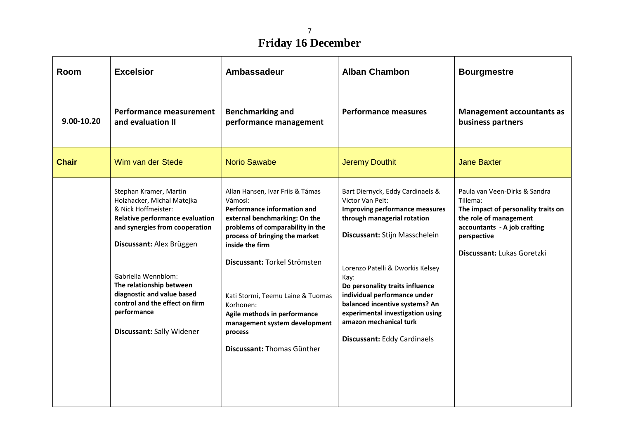# **Friday 16 December**

| Room         | <b>Excelsior</b>                                                                                                                                                                                                                                                                                                                            | <b>Ambassadeur</b>                                                                                                                                                                                                                                                                                                                                                                               | <b>Alban Chambon</b>                                                                                                                                                                                                                                                                                                                                                                                        | <b>Bourgmestre</b>                                                                                                                                                                      |
|--------------|---------------------------------------------------------------------------------------------------------------------------------------------------------------------------------------------------------------------------------------------------------------------------------------------------------------------------------------------|--------------------------------------------------------------------------------------------------------------------------------------------------------------------------------------------------------------------------------------------------------------------------------------------------------------------------------------------------------------------------------------------------|-------------------------------------------------------------------------------------------------------------------------------------------------------------------------------------------------------------------------------------------------------------------------------------------------------------------------------------------------------------------------------------------------------------|-----------------------------------------------------------------------------------------------------------------------------------------------------------------------------------------|
| 9.00-10.20   | Performance measurement<br>and evaluation II                                                                                                                                                                                                                                                                                                | <b>Benchmarking and</b><br>performance management                                                                                                                                                                                                                                                                                                                                                | <b>Performance measures</b>                                                                                                                                                                                                                                                                                                                                                                                 | <b>Management accountants as</b><br>business partners                                                                                                                                   |
| <b>Chair</b> | Wim van der Stede                                                                                                                                                                                                                                                                                                                           | <b>Norio Sawabe</b>                                                                                                                                                                                                                                                                                                                                                                              | <b>Jeremy Douthit</b>                                                                                                                                                                                                                                                                                                                                                                                       | <b>Jane Baxter</b>                                                                                                                                                                      |
|              | Stephan Kramer, Martin<br>Holzhacker, Michal Matejka<br>& Nick Hoffmeister:<br>Relative performance evaluation<br>and synergies from cooperation<br>Discussant: Alex Brüggen<br>Gabriella Wennblom:<br>The relationship between<br>diagnostic and value based<br>control and the effect on firm<br>performance<br>Discussant: Sally Widener | Allan Hansen, Ivar Friis & Támas<br>Vámosi:<br>Performance information and<br>external benchmarking: On the<br>problems of comparability in the<br>process of bringing the market<br>inside the firm<br>Discussant: Torkel Strömsten<br>Kati Stormi, Teemu Laine & Tuomas<br>Korhonen:<br>Agile methods in performance<br>management system development<br>process<br>Discussant: Thomas Günther | Bart Diernyck, Eddy Cardinaels &<br>Victor Van Pelt:<br><b>Improving performance measures</b><br>through managerial rotation<br>Discussant: Stijn Masschelein<br>Lorenzo Patelli & Dworkis Kelsey<br>Kay:<br>Do personality traits influence<br>individual performance under<br>balanced incentive systems? An<br>experimental investigation using<br>amazon mechanical turk<br>Discussant: Eddy Cardinaels | Paula van Veen-Dirks & Sandra<br>Tillema:<br>The impact of personality traits on<br>the role of management<br>accountants - A job crafting<br>perspective<br>Discussant: Lukas Goretzki |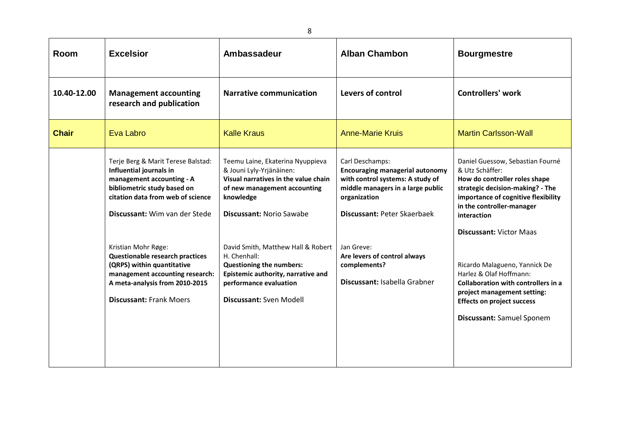| Room         | <b>Excelsior</b>                                                                                                                                                                                   | Ambassadeur                                                                                                                                                                          | <b>Alban Chambon</b>                                                                                                                                                              | <b>Bourgmestre</b>                                                                                                                                                                                                                            |
|--------------|----------------------------------------------------------------------------------------------------------------------------------------------------------------------------------------------------|--------------------------------------------------------------------------------------------------------------------------------------------------------------------------------------|-----------------------------------------------------------------------------------------------------------------------------------------------------------------------------------|-----------------------------------------------------------------------------------------------------------------------------------------------------------------------------------------------------------------------------------------------|
| 10.40-12.00  | <b>Management accounting</b><br>research and publication                                                                                                                                           | <b>Narrative communication</b>                                                                                                                                                       | Levers of control                                                                                                                                                                 | <b>Controllers' work</b>                                                                                                                                                                                                                      |
| <b>Chair</b> | Eva Labro                                                                                                                                                                                          | <b>Kalle Kraus</b>                                                                                                                                                                   | <b>Anne-Marie Kruis</b>                                                                                                                                                           | <b>Martin Carlsson-Wall</b>                                                                                                                                                                                                                   |
|              | Terje Berg & Marit Terese Balstad:<br>Influential journals in<br>management accounting - A<br>bibliometric study based on<br>citation data from web of science<br>Discussant: Wim van der Stede    | Teemu Laine, Ekaterina Nyuppieva<br>& Jouni Lyly-Yrjänäinen:<br>Visual narratives in the value chain<br>of new management accounting<br>knowledge<br><b>Discussant: Norio Sawabe</b> | Carl Deschamps:<br><b>Encouraging managerial autonomy</b><br>with control systems: A study of<br>middle managers in a large public<br>organization<br>Discussant: Peter Skaerbaek | Daniel Guessow, Sebastian Fourné<br>& Utz Schäffer:<br>How do controller roles shape<br>strategic decision-making? - The<br>importance of cognitive flexibility<br>in the controller-manager<br>interaction<br><b>Discussant: Victor Maas</b> |
|              | Kristian Mohr Røge:<br><b>Questionable research practices</b><br>(QRPS) within quantitative<br>management accounting research:<br>A meta-analysis from 2010-2015<br><b>Discussant: Frank Moers</b> | David Smith, Matthew Hall & Robert<br>H. Chenhall:<br>Questioning the numbers:<br>Epistemic authority, narrative and<br>performance evaluation<br>Discussant: Sven Modell            | Jan Greve:<br>Are levers of control always<br>complements?<br>Discussant: Isabella Grabner                                                                                        | Ricardo Malagueno, Yannick De<br>Harlez & Olaf Hoffmann:<br>Collaboration with controllers in a<br>project management setting:<br><b>Effects on project success</b><br>Discussant: Samuel Sponem                                              |